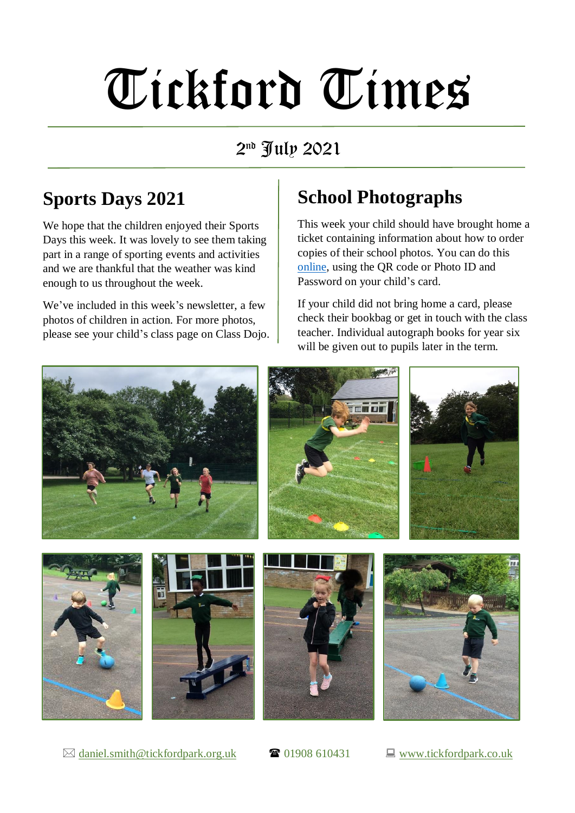# Tickford Times

#### 2 nd July 2021

### **Sports Days 2021**

We hope that the children enjoyed their Sports Days this week. It was lovely to see them taking part in a range of sporting events and activities and we are thankful that the weather was kind enough to us throughout the week.

We've included in this week's newsletter, a few photos of children in action. For more photos, please see your child's class page on Class Dojo.

## **School Photographs**

This week your child should have brought home a ticket containing information about how to order copies of their school photos. You can do this [online,](https://v6.kittleorders.com/kp/Home) using the QR code or Photo ID and Password on your child's card.

If your child did not bring home a card, please check their bookbag or get in touch with the class teacher. Individual autograph books for year six will be given out to pupils later in the term.